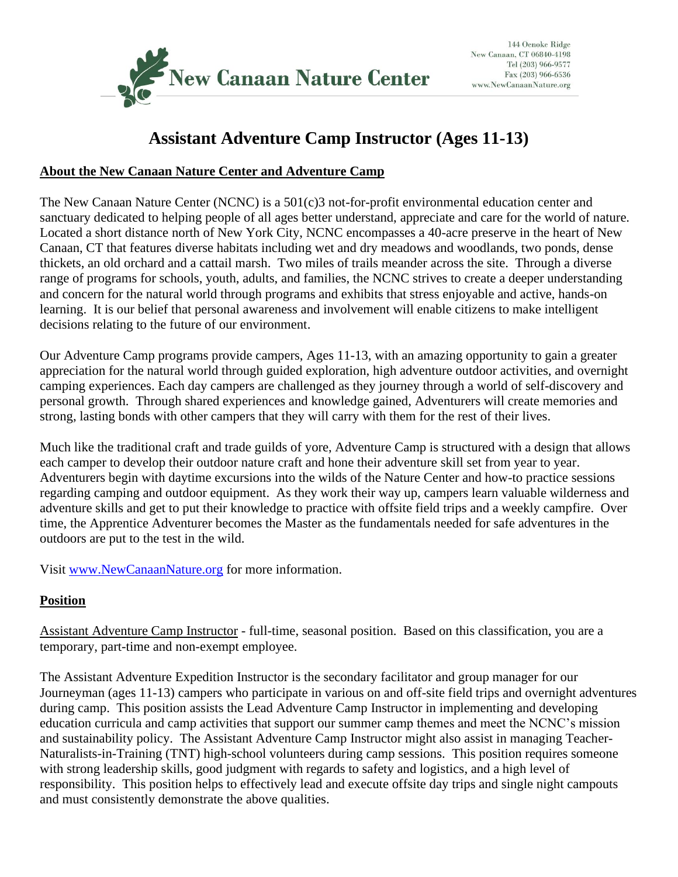

# **Assistant Adventure Camp Instructor (Ages 11-13)**

## **About the New Canaan Nature Center and Adventure Camp**

The New Canaan Nature Center (NCNC) is a 501(c)3 not-for-profit environmental education center and sanctuary dedicated to helping people of all ages better understand, appreciate and care for the world of nature. Located a short distance north of New York City, NCNC encompasses a 40-acre preserve in the heart of New Canaan, CT that features diverse habitats including wet and dry meadows and woodlands, two ponds, dense thickets, an old orchard and a cattail marsh. Two miles of trails meander across the site. Through a diverse range of programs for schools, youth, adults, and families, the NCNC strives to create a deeper understanding and concern for the natural world through programs and exhibits that stress enjoyable and active, hands-on learning. It is our belief that personal awareness and involvement will enable citizens to make intelligent decisions relating to the future of our environment.

Our Adventure Camp programs provide campers, Ages 11-13, with an amazing opportunity to gain a greater appreciation for the natural world through guided exploration, high adventure outdoor activities, and overnight camping experiences. Each day campers are challenged as they journey through a world of self-discovery and personal growth. Through shared experiences and knowledge gained, Adventurers will create memories and strong, lasting bonds with other campers that they will carry with them for the rest of their lives.

Much like the traditional craft and trade guilds of yore, Adventure Camp is structured with a design that allows each camper to develop their outdoor nature craft and hone their adventure skill set from year to year. Adventurers begin with daytime excursions into the wilds of the Nature Center and how-to practice sessions regarding camping and outdoor equipment. As they work their way up, campers learn valuable wilderness and adventure skills and get to put their knowledge to practice with offsite field trips and a weekly campfire. Over time, the Apprentice Adventurer becomes the Master as the fundamentals needed for safe adventures in the outdoors are put to the test in the wild.

Visit [www.NewCanaanNature.org](http://www.newcanaannature.org/) for more information.

## **Position**

Assistant Adventure Camp Instructor - full-time, seasonal position. Based on this classification, you are a temporary, part-time and non-exempt employee.

The Assistant Adventure Expedition Instructor is the secondary facilitator and group manager for our Journeyman (ages 11-13) campers who participate in various on and off-site field trips and overnight adventures during camp. This position assists the Lead Adventure Camp Instructor in implementing and developing education curricula and camp activities that support our summer camp themes and meet the NCNC's mission and sustainability policy. The Assistant Adventure Camp Instructor might also assist in managing Teacher-Naturalists-in-Training (TNT) high-school volunteers during camp sessions. This position requires someone with strong leadership skills, good judgment with regards to safety and logistics, and a high level of responsibility. This position helps to effectively lead and execute offsite day trips and single night campouts and must consistently demonstrate the above qualities.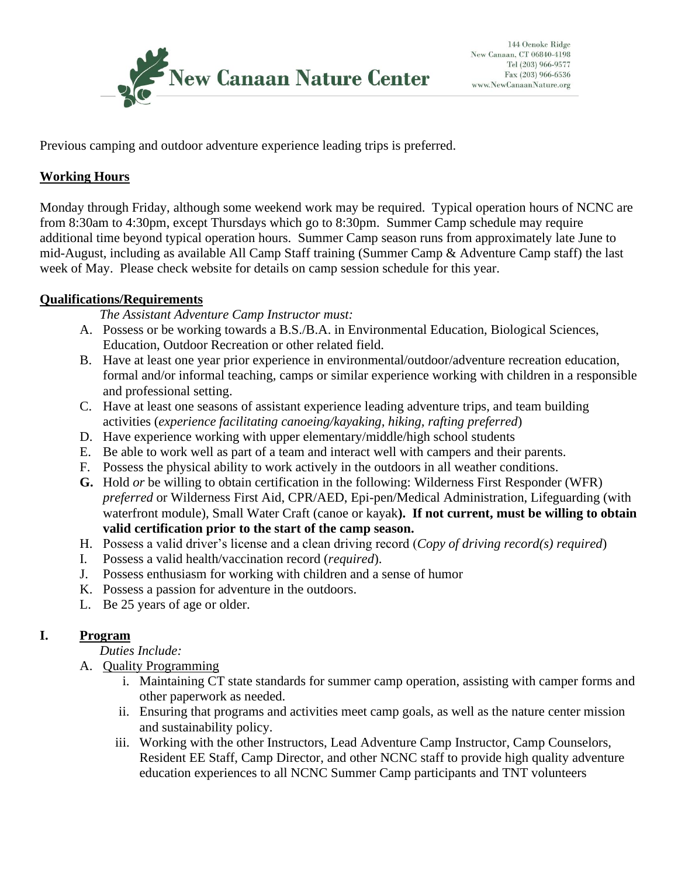

Previous camping and outdoor adventure experience leading trips is preferred.

# **Working Hours**

Monday through Friday, although some weekend work may be required. Typical operation hours of NCNC are from 8:30am to 4:30pm, except Thursdays which go to 8:30pm. Summer Camp schedule may require additional time beyond typical operation hours. Summer Camp season runs from approximately late June to mid-August, including as available All Camp Staff training (Summer Camp & Adventure Camp staff) the last week of May. Please check website for details on camp session schedule for this year.

## **Qualifications/Requirements**

*The Assistant Adventure Camp Instructor must:*

- A. Possess or be working towards a B.S./B.A. in Environmental Education, Biological Sciences, Education, Outdoor Recreation or other related field.
- B. Have at least one year prior experience in environmental/outdoor/adventure recreation education, formal and/or informal teaching, camps or similar experience working with children in a responsible and professional setting.
- C. Have at least one seasons of assistant experience leading adventure trips, and team building activities (*experience facilitating canoeing/kayaking, hiking, rafting preferred*)
- D. Have experience working with upper elementary/middle/high school students
- E. Be able to work well as part of a team and interact well with campers and their parents.
- F. Possess the physical ability to work actively in the outdoors in all weather conditions.
- **G.** Hold *or* be willing to obtain certification in the following: Wilderness First Responder (WFR) *preferred* or Wilderness First Aid, CPR/AED, Epi-pen/Medical Administration, Lifeguarding (with waterfront module), Small Water Craft (canoe or kayak**). If not current, must be willing to obtain valid certification prior to the start of the camp season.**
- H. Possess a valid driver's license and a clean driving record (*Copy of driving record(s) required*)
- I. Possess a valid health/vaccination record (*required*).
- J. Possess enthusiasm for working with children and a sense of humor
- K. Possess a passion for adventure in the outdoors.
- L. Be 25 years of age or older.

# **I. Program**

*Duties Include:*

- A. Quality Programming
	- i. Maintaining CT state standards for summer camp operation, assisting with camper forms and other paperwork as needed.
	- ii. Ensuring that programs and activities meet camp goals, as well as the nature center mission and sustainability policy.
	- iii. Working with the other Instructors, Lead Adventure Camp Instructor, Camp Counselors, Resident EE Staff, Camp Director, and other NCNC staff to provide high quality adventure education experiences to all NCNC Summer Camp participants and TNT volunteers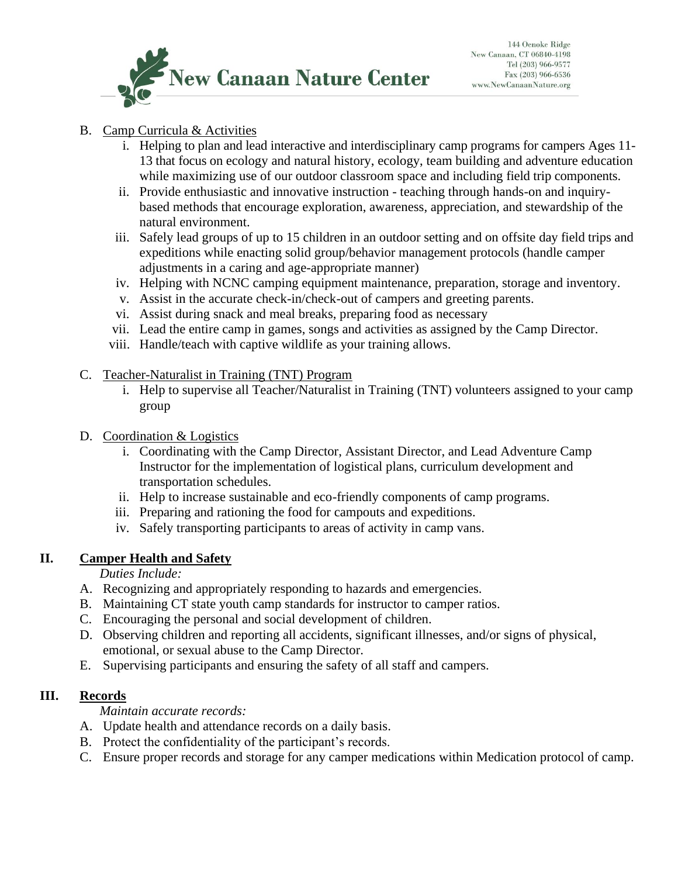

## B. Camp Curricula & Activities

- i. Helping to plan and lead interactive and interdisciplinary camp programs for campers Ages 11- 13 that focus on ecology and natural history, ecology, team building and adventure education while maximizing use of our outdoor classroom space and including field trip components.
- ii. Provide enthusiastic and innovative instruction teaching through hands-on and inquirybased methods that encourage exploration, awareness, appreciation, and stewardship of the natural environment.
- iii. Safely lead groups of up to 15 children in an outdoor setting and on offsite day field trips and expeditions while enacting solid group/behavior management protocols (handle camper adjustments in a caring and age-appropriate manner)
- iv. Helping with NCNC camping equipment maintenance, preparation, storage and inventory.
- v. Assist in the accurate check-in/check-out of campers and greeting parents.
- vi. Assist during snack and meal breaks, preparing food as necessary
- vii. Lead the entire camp in games, songs and activities as assigned by the Camp Director.
- viii. Handle/teach with captive wildlife as your training allows.

## C. Teacher-Naturalist in Training (TNT) Program

- i. Help to supervise all Teacher/Naturalist in Training (TNT) volunteers assigned to your camp group
- D. Coordination & Logistics
	- i. Coordinating with the Camp Director, Assistant Director, and Lead Adventure Camp Instructor for the implementation of logistical plans, curriculum development and transportation schedules.
	- ii. Help to increase sustainable and eco-friendly components of camp programs.
	- iii. Preparing and rationing the food for campouts and expeditions.
	- iv. Safely transporting participants to areas of activity in camp vans.

# **II. Camper Health and Safety**

*Duties Include:*

- A. Recognizing and appropriately responding to hazards and emergencies.
- B. Maintaining CT state youth camp standards for instructor to camper ratios.
- C. Encouraging the personal and social development of children.
- D. Observing children and reporting all accidents, significant illnesses, and/or signs of physical, emotional, or sexual abuse to the Camp Director.
- E. Supervising participants and ensuring the safety of all staff and campers.

# **III. Records**

*Maintain accurate records:*

- A. Update health and attendance records on a daily basis.
- B. Protect the confidentiality of the participant's records.
- C. Ensure proper records and storage for any camper medications within Medication protocol of camp.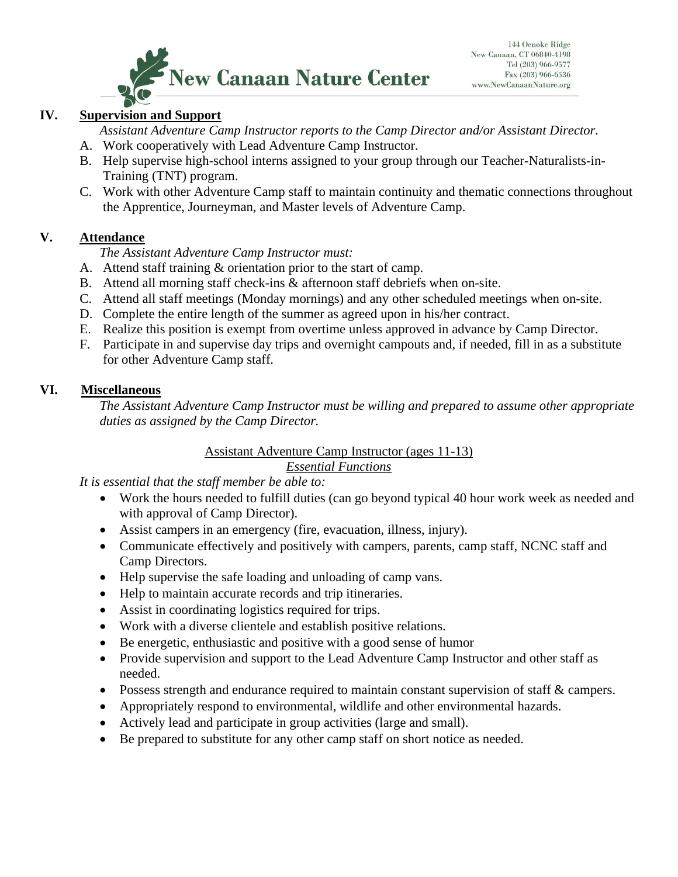

## **IV. Supervision and Support**

*Assistant Adventure Camp Instructor reports to the Camp Director and/or Assistant Director.* A. Work cooperatively with Lead Adventure Camp Instructor.

- B. Help supervise high-school interns assigned to your group through our Teacher-Naturalists-in-
- Training (TNT) program. C. Work with other Adventure Camp staff to maintain continuity and thematic connections throughout the Apprentice, Journeyman, and Master levels of Adventure Camp.

#### **V. Attendance**

*The Assistant Adventure Camp Instructor must:*

- A. Attend staff training & orientation prior to the start of camp.
- B. Attend all morning staff check-ins & afternoon staff debriefs when on-site.
- C. Attend all staff meetings (Monday mornings) and any other scheduled meetings when on-site.
- D. Complete the entire length of the summer as agreed upon in his/her contract.
- E. Realize this position is exempt from overtime unless approved in advance by Camp Director.
- F. Participate in and supervise day trips and overnight campouts and, if needed, fill in as a substitute for other Adventure Camp staff.

#### **VI. Miscellaneous**

*The Assistant Adventure Camp Instructor must be willing and prepared to assume other appropriate duties as assigned by the Camp Director.*

#### Assistant Adventure Camp Instructor (ages 11-13) *Essential Functions*

*It is essential that the staff member be able to:*

- Work the hours needed to fulfill duties (can go beyond typical 40 hour work week as needed and with approval of Camp Director).
- Assist campers in an emergency (fire, evacuation, illness, injury).
- Communicate effectively and positively with campers, parents, camp staff, NCNC staff and Camp Directors.
- Help supervise the safe loading and unloading of camp vans.
- Help to maintain accurate records and trip itineraries.
- Assist in coordinating logistics required for trips.
- Work with a diverse clientele and establish positive relations.
- Be energetic, enthusiastic and positive with a good sense of humor
- Provide supervision and support to the Lead Adventure Camp Instructor and other staff as needed.
- Possess strength and endurance required to maintain constant supervision of staff & campers.
- Appropriately respond to environmental, wildlife and other environmental hazards.
- Actively lead and participate in group activities (large and small).
- Be prepared to substitute for any other camp staff on short notice as needed.